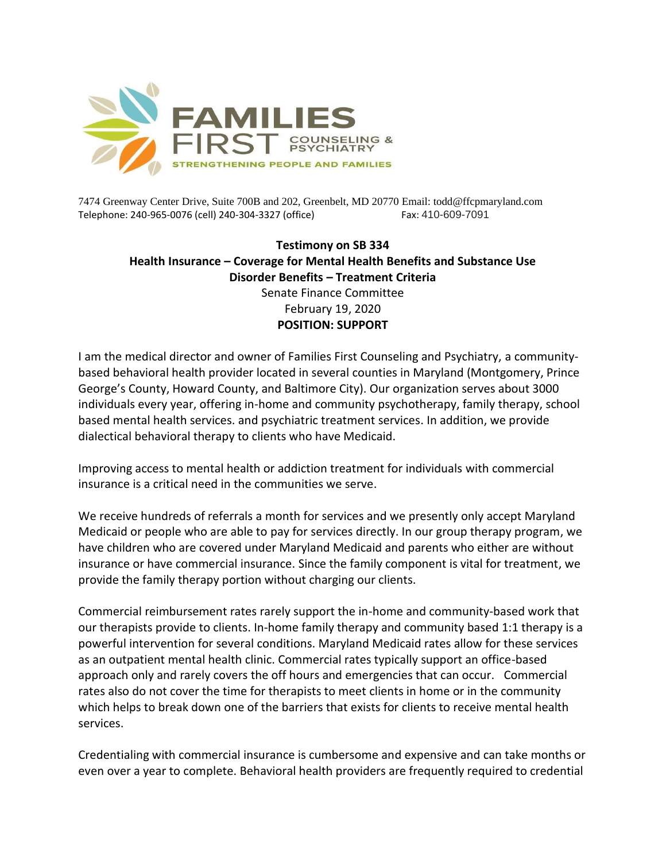

7474 Greenway Center Drive, Suite 700B and 202, Greenbelt, MD 20770 Email: todd@ffcpmaryland.com Telephone: 240-965-0076 (cell) 240-304-3327 (office) Fax: 410-609-7091

## **Testimony on SB 334 Health Insurance – Coverage for Mental Health Benefits and Substance Use Disorder Benefits – Treatment Criteria** Senate Finance Committee February 19, 2020

## **POSITION: SUPPORT**

I am the medical director and owner of Families First Counseling and Psychiatry, a communitybased behavioral health provider located in several counties in Maryland (Montgomery, Prince George's County, Howard County, and Baltimore City). Our organization serves about 3000 individuals every year, offering in-home and community psychotherapy, family therapy, school based mental health services. and psychiatric treatment services. In addition, we provide dialectical behavioral therapy to clients who have Medicaid.

Improving access to mental health or addiction treatment for individuals with commercial insurance is a critical need in the communities we serve.

We receive hundreds of referrals a month for services and we presently only accept Maryland Medicaid or people who are able to pay for services directly. In our group therapy program, we have children who are covered under Maryland Medicaid and parents who either are without insurance or have commercial insurance. Since the family component is vital for treatment, we provide the family therapy portion without charging our clients.

Commercial reimbursement rates rarely support the in-home and community-based work that our therapists provide to clients. In-home family therapy and community based 1:1 therapy is a powerful intervention for several conditions. Maryland Medicaid rates allow for these services as an outpatient mental health clinic. Commercial rates typically support an office-based approach only and rarely covers the off hours and emergencies that can occur. Commercial rates also do not cover the time for therapists to meet clients in home or in the community which helps to break down one of the barriers that exists for clients to receive mental health services.

Credentialing with commercial insurance is cumbersome and expensive and can take months or even over a year to complete. Behavioral health providers are frequently required to credential